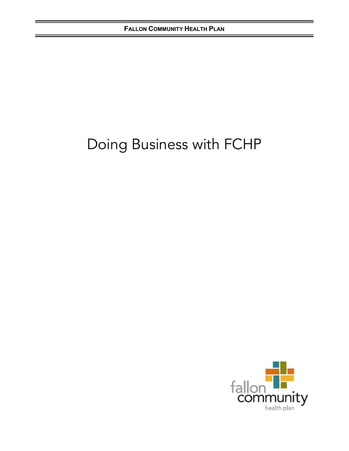# Doing Business with FCHP

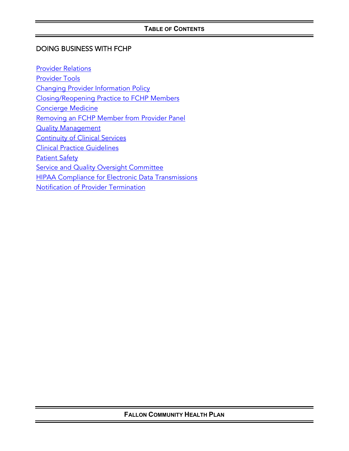# DOING BUSINESS WITH FCHP

[Provider Relations](#page-2-0) [Provider Tools](#page-4-0) [Changing Provider Information Policy](#page-5-0) Closing/Reopening Practice to FCHP Members [Concierge Medicine](#page-7-0) [Removing an FCHP Member from Provider](#page-8-0) Panel **[Quality Management](#page-9-0)** [Continuity of Clinical Services](#page-11-0) [Clinical Practice Guidelines](#page-18-0) **[Patient Safety](#page-19-0)** [Service and Quality Oversight Committee](#page-20-0) [HIPAA Compliance for Electronic Data Transmissions](#page-22-0) [Notification of Provider](#page-24-0) Termination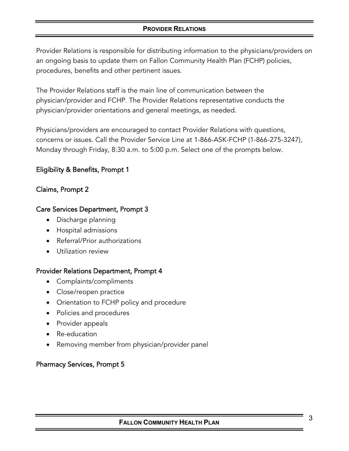## **PROVIDER RELATIONS**

<span id="page-2-0"></span>Provider Relations is responsible for distributing information to the physicians/providers on an ongoing basis to update them on Fallon Community Health Plan (FCHP) policies, procedures, benefits and other pertinent issues.

The Provider Relations staff is the main line of communication between the physician/provider and FCHP. The Provider Relations representative conducts the physician/provider orientations and general meetings, as needed.

Physicians/providers are encouraged to contact Provider Relations with questions, concerns or issues. Call the Provider Service Line at 1-866-ASK-FCHP (1-866-275-3247), Monday through Friday, 8:30 a.m. to 5:00 p.m. Select one of the prompts below.

# Eligibility & Benefits, Prompt 1

## Claims, Prompt 2

## Care Services Department, Prompt 3

- Discharge planning
- Hospital admissions
- Referral/Prior authorizations
- Utilization review

## Provider Relations Department, Prompt 4

- Complaints/compliments
- Close/reopen practice
- Orientation to FCHP policy and procedure
- Policies and procedures
- Provider appeals
- Re-education
- Removing member from physician/provider panel

# Pharmacy Services, Prompt 5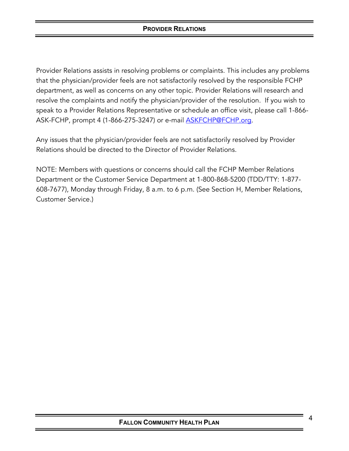Provider Relations assists in resolving problems or complaints. This includes any problems that the physician/provider feels are not satisfactorily resolved by the responsible FCHP department, as well as concerns on any other topic. Provider Relations will research and resolve the complaints and notify the physician/provider of the resolution. If you wish to speak to a Provider Relations Representative or schedule an office visit, please call 1-866- ASK-FCHP, prompt 4 (1-866-275-3247) or e-mail **ASKFCHP@FCHP.org.** 

Any issues that the physician/provider feels are not satisfactorily resolved by Provider Relations should be directed to the Director of Provider Relations.

NOTE: Members with questions or concerns should call the FCHP Member Relations Department or the Customer Service Department at 1-800-868-5200 (TDD/TTY: 1-877- 608-7677), Monday through Friday, 8 a.m. to 6 p.m. (See Section H, Member Relations, Customer Service.)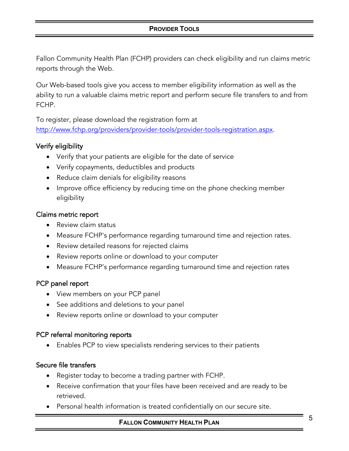## **PROVIDER TOOLS**

<span id="page-4-0"></span>Fallon Community Health Plan (FCHP) providers can check eligibility and run claims metric reports through the Web.

Our Web-based tools give you access to member eligibility information as well as the ability to run a valuable claims metric report and perform secure file transfers to and from FCHP.

To register, please download the registration form at [http://www.fchp.org/providers/provider-tools/provider-tools-registration.aspx.](http://www.fchp.org/providers/provider-tools/provider-tools-registration.aspx)

## Verify eligibility

- Verify that your patients are eligible for the date of service
- Verify copayments, deductibles and products
- Reduce claim denials for eligibility reasons
- Improve office efficiency by reducing time on the phone checking member eligibility

#### Claims metric report

- Review claim status
- Measure FCHP's performance regarding turnaround time and rejection rates.
- Review detailed reasons for rejected claims
- Review reports online or download to your computer
- Measure FCHP's performance regarding turnaround time and rejection rates

## PCP panel report

- View members on your PCP panel
- See additions and deletions to your panel
- Review reports online or download to your computer

## PCP referral monitoring reports

• Enables PCP to view specialists rendering services to their patients

## Secure file transfers

- Register today to become a trading partner with FCHP.
- Receive confirmation that your files have been received and are ready to be retrieved.
- Personal health information is treated confidentially on our secure site.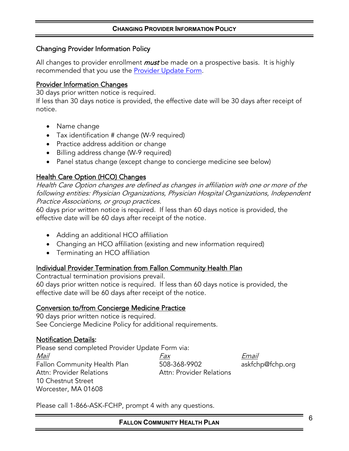#### **CHANGING PROVIDER INFORMATION POLICY**

#### <span id="page-5-0"></span>Changing Provider Information Policy

All changes to provider enrollment *must* be made on a prospective basis. It is highly recommended that you use the **Provider Update Form.** 

#### Provider Information Changes

30 days prior written notice is required.

If less than 30 days notice is provided, the effective date will be 30 days after receipt of notice.

- Name change
- Tax identification # change (W-9 required)
- Practice address addition or change
- Billing address change (W-9 required)
- Panel status change (except change to concierge medicine see below)

## Health Care Option (HCO) Changes

Health Care Option changes are defined as changes in affiliation with one or more of the following entities: Physician Organizations, Physician Hospital Organizations, Independent Practice Associations, or group practices.

60 days prior written notice is required. If less than 60 days notice is provided, the effective date will be 60 days after receipt of the notice.

- Adding an additional HCO affiliation
- Changing an HCO affiliation (existing and new information required)
- Terminating an HCO affiliation

#### Individual Provider Termination from Fallon Community Health Plan

Contractual termination provisions prevail.

60 days prior written notice is required. If less than 60 days notice is provided, the effective date will be 60 days after receipt of the notice.

## Conversion to/from Concierge Medicine Practice

90 days prior written notice is required. See Concierge Medicine Policy for additional requirements.

## Notification Details:

Please send completed Provider Update Form via: Mail Fax Email Fallon Community Health Plan 508-368-9902 askfchp@fchp.org Attn: Provider Relations **Attn: Provider Relations** 10 Chestnut Street Worcester, MA 01608

Please call 1-866-ASK-FCHP, prompt 4 with any questions.

**FALLON COMMUNITY HEALTH PLAN**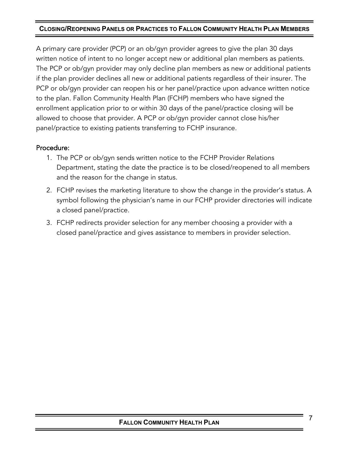## **CLOSING/REOPENING PANELS OR PRACTICES TO FALLON COMMUNITY HEALTH PLAN MEMBERS**

A primary care provider (PCP) or an ob/gyn provider agrees to give the plan 30 days written notice of intent to no longer accept new or additional plan members as patients. The PCP or ob/gyn provider may only decline plan members as new or additional patients if the plan provider declines all new or additional patients regardless of their insurer. The PCP or ob/gyn provider can reopen his or her panel/practice upon advance written notice to the plan. Fallon Community Health Plan (FCHP) members who have signed the enrollment application prior to or within 30 days of the panel/practice closing will be allowed to choose that provider. A PCP or ob/gyn provider cannot close his/her panel/practice to existing patients transferring to FCHP insurance.

## Procedure:

- 1. The PCP or ob/gyn sends written notice to the FCHP Provider Relations Department, stating the date the practice is to be closed/reopened to all members and the reason for the change in status.
- 2. FCHP revises the marketing literature to show the change in the provider's status. A symbol following the physician's name in our FCHP provider directories will indicate a closed panel/practice.
- 3. FCHP redirects provider selection for any member choosing a provider with a closed panel/practice and gives assistance to members in provider selection.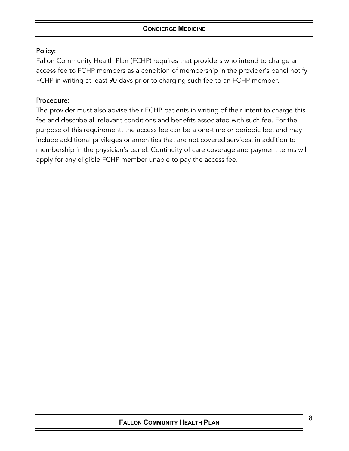## <span id="page-7-0"></span>Policy:

Fallon Community Health Plan (FCHP) requires that providers who intend to charge an access fee to FCHP members as a condition of membership in the provider's panel notify FCHP in writing at least 90 days prior to charging such fee to an FCHP member.

## Procedure:

The provider must also advise their FCHP patients in writing of their intent to charge this fee and describe all relevant conditions and benefits associated with such fee. For the purpose of this requirement, the access fee can be a one-time or periodic fee, and may include additional privileges or amenities that are not covered services, in addition to membership in the physician's panel. Continuity of care coverage and payment terms will apply for any eligible FCHP member unable to pay the access fee.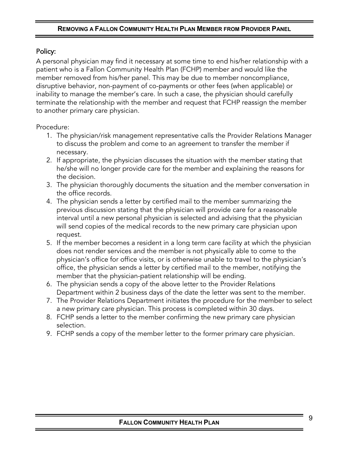#### **REMOVING A FALLON COMMUNITY HEALTH PLAN MEMBER FROM PROVIDER PANEL**

## <span id="page-8-0"></span>Policy:

A personal physician may find it necessary at some time to end his/her relationship with a patient who is a Fallon Community Health Plan (FCHP) member and would like the member removed from his/her panel. This may be due to member noncompliance, disruptive behavior, non-payment of co-payments or other fees (when applicable) or inability to manage the member's care. In such a case, the physician should carefully terminate the relationship with the member and request that FCHP reassign the member to another primary care physician.

## Procedure:

- 1. The physician/risk management representative calls the Provider Relations Manager to discuss the problem and come to an agreement to transfer the member if necessary.
- 2. If appropriate, the physician discusses the situation with the member stating that he/she will no longer provide care for the member and explaining the reasons for the decision.
- 3. The physician thoroughly documents the situation and the member conversation in the office records.
- 4. The physician sends a letter by certified mail to the member summarizing the previous discussion stating that the physician will provide care for a reasonable interval until a new personal physician is selected and advising that the physician will send copies of the medical records to the new primary care physician upon request.
- 5. If the member becomes a resident in a long term care facility at which the physician does not render services and the member is not physically able to come to the physician's office for office visits, or is otherwise unable to travel to the physician's office, the physician sends a letter by certified mail to the member, notifying the member that the physician-patient relationship will be ending.
- 6. The physician sends a copy of the above letter to the Provider Relations Department within 2 business days of the date the letter was sent to the member.
- 7. The Provider Relations Department initiates the procedure for the member to select a new primary care physician. This process is completed within 30 days.
- 8. FCHP sends a letter to the member confirming the new primary care physician selection.
- 9. FCHP sends a copy of the member letter to the former primary care physician.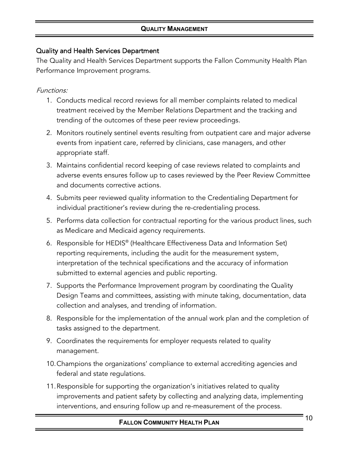# <span id="page-9-0"></span>Quality and Health Services Department

The Quality and Health Services Department supports the Fallon Community Health Plan Performance Improvement programs.

# Functions:

- 1. Conducts medical record reviews for all member complaints related to medical treatment received by the Member Relations Department and the tracking and trending of the outcomes of these peer review proceedings.
- 2. Monitors routinely sentinel events resulting from outpatient care and major adverse events from inpatient care, referred by clinicians, case managers, and other appropriate staff.
- 3. Maintains confidential record keeping of case reviews related to complaints and adverse events ensures follow up to cases reviewed by the Peer Review Committee and documents corrective actions.
- 4. Submits peer reviewed quality information to the Credentialing Department for individual practitioner's review during the re-credentialing process.
- 5. Performs data collection for contractual reporting for the various product lines, such as Medicare and Medicaid agency requirements.
- 6. Responsible for HEDIS® (Healthcare Effectiveness Data and Information Set) reporting requirements, including the audit for the measurement system, interpretation of the technical specifications and the accuracy of information submitted to external agencies and public reporting.
- 7. Supports the Performance Improvement program by coordinating the Quality Design Teams and committees, assisting with minute taking, documentation, data collection and analyses, and trending of information.
- 8. Responsible for the implementation of the annual work plan and the completion of tasks assigned to the department.
- 9. Coordinates the requirements for employer requests related to quality management.
- 10.Champions the organizations' compliance to external accrediting agencies and federal and state regulations.
- 11.Responsible for supporting the organization's initiatives related to quality improvements and patient safety by collecting and analyzing data, implementing interventions, and ensuring follow up and re-measurement of the process.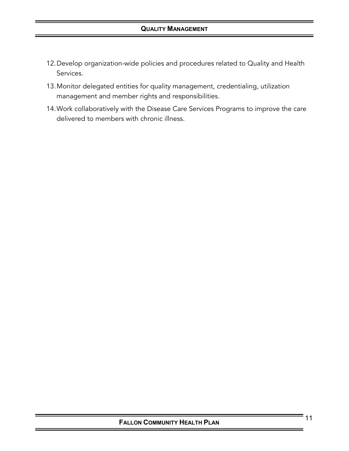## **QUALITY MANAGEMENT**

- 12.Develop organization-wide policies and procedures related to Quality and Health Services.
- 13.Monitor delegated entities for quality management, credentialing, utilization management and member rights and responsibilities.
- 14.Work collaboratively with the Disease Care Services Programs to improve the care delivered to members with chronic illness.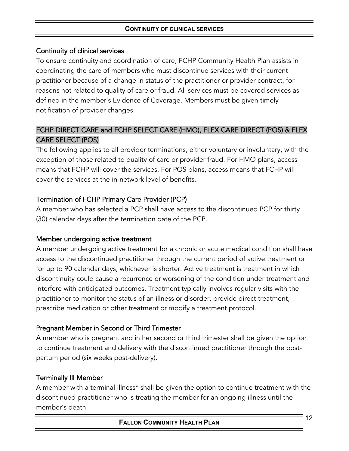## <span id="page-11-0"></span>Continuity of clinical services

To ensure continuity and coordination of care, FCHP Community Health Plan assists in coordinating the care of members who must discontinue services with their current practitioner because of a change in status of the practitioner or provider contract, for reasons not related to quality of care or fraud. All services must be covered services as defined in the member's Evidence of Coverage. Members must be given timely notification of provider changes.

# FCHP DIRECT CARE and FCHP SELECT CARE (HMO), FLEX CARE DIRECT (POS) & FLEX CARE SELECT (POS)

The following applies to all provider terminations, either voluntary or involuntary, with the exception of those related to quality of care or provider fraud. For HMO plans, access means that FCHP will cover the services. For POS plans, access means that FCHP will cover the services at the in-network level of benefits.

# Termination of FCHP Primary Care Provider (PCP)

A member who has selected a PCP shall have access to the discontinued PCP for thirty (30) calendar days after the termination date of the PCP.

# Member undergoing active treatment

A member undergoing active treatment for a chronic or acute medical condition shall have access to the discontinued practitioner through the current period of active treatment or for up to 90 calendar days, whichever is shorter. Active treatment is treatment in which discontinuity could cause a recurrence or worsening of the condition under treatment and interfere with anticipated outcomes. Treatment typically involves regular visits with the practitioner to monitor the status of an illness or disorder, provide direct treatment, prescribe medication or other treatment or modify a treatment protocol.

# Pregnant Member in Second or Third Trimester

A member who is pregnant and in her second or third trimester shall be given the option to continue treatment and delivery with the discontinued practitioner through the postpartum period (six weeks post-delivery).

# Terminally Ill Member

A member with a terminal illness\* shall be given the option to continue treatment with the discontinued practitioner who is treating the member for an ongoing illness until the member's death.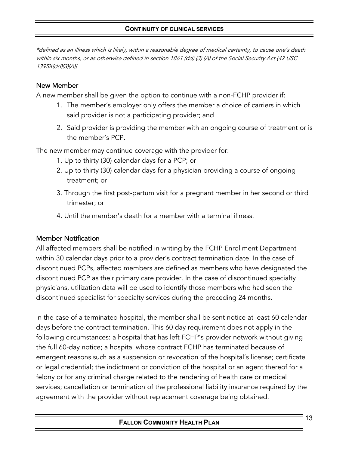\*defined as an illness which is likely, within a reasonable degree of medical certainty, to cause one's death within six months, or as otherwise defined in section 1861 (dd) (3) (A) of the Social Security Act (42 USC 1395X(dd)(3)(A)]

## New Member

A new member shall be given the option to continue with a non-FCHP provider if:

- 1. The member's employer only offers the member a choice of carriers in which said provider is not a participating provider; and
- 2. Said provider is providing the member with an ongoing course of treatment or is the member's PCP.

The new member may continue coverage with the provider for:

- 1. Up to thirty (30) calendar days for a PCP; or
- 2. Up to thirty (30) calendar days for a physician providing a course of ongoing treatment; or
- 3. Through the first post-partum visit for a pregnant member in her second or third trimester; or
- 4. Until the member's death for a member with a terminal illness.

## Member Notification

All affected members shall be notified in writing by the FCHP Enrollment Department within 30 calendar days prior to a provider's contract termination date. In the case of discontinued PCPs, affected members are defined as members who have designated the discontinued PCP as their primary care provider. In the case of discontinued specialty physicians, utilization data will be used to identify those members who had seen the discontinued specialist for specialty services during the preceding 24 months.

In the case of a terminated hospital, the member shall be sent notice at least 60 calendar days before the contract termination. This 60 day requirement does not apply in the following circumstances: a hospital that has left FCHP's provider network without giving the full 60-day notice; a hospital whose contract FCHP has terminated because of emergent reasons such as a suspension or revocation of the hospital's license; certificate or legal credential; the indictment or conviction of the hospital or an agent thereof for a felony or for any criminal charge related to the rendering of health care or medical services; cancellation or termination of the professional liability insurance required by the agreement with the provider without replacement coverage being obtained.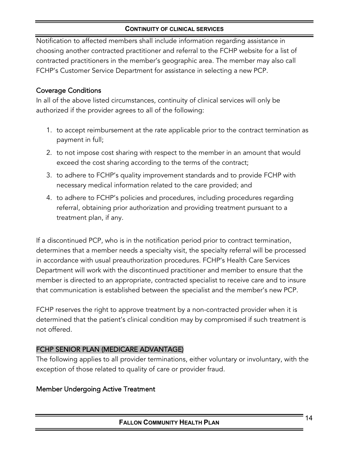Notification to affected members shall include information regarding assistance in choosing another contracted practitioner and referral to the FCHP website for a list of contracted practitioners in the member's geographic area. The member may also call FCHP's Customer Service Department for assistance in selecting a new PCP.

# Coverage Conditions

In all of the above listed circumstances, continuity of clinical services will only be authorized if the provider agrees to all of the following:

- 1. to accept reimbursement at the rate applicable prior to the contract termination as payment in full;
- 2. to not impose cost sharing with respect to the member in an amount that would exceed the cost sharing according to the terms of the contract;
- 3. to adhere to FCHP's quality improvement standards and to provide FCHP with necessary medical information related to the care provided; and
- 4. to adhere to FCHP's policies and procedures, including procedures regarding referral, obtaining prior authorization and providing treatment pursuant to a treatment plan, if any.

If a discontinued PCP, who is in the notification period prior to contract termination, determines that a member needs a specialty visit, the specialty referral will be processed in accordance with usual preauthorization procedures. FCHP's Health Care Services Department will work with the discontinued practitioner and member to ensure that the member is directed to an appropriate, contracted specialist to receive care and to insure that communication is established between the specialist and the member's new PCP.

FCHP reserves the right to approve treatment by a non-contracted provider when it is determined that the patient's clinical condition may by compromised if such treatment is not offered.

# FCHP SENIOR PLAN (MEDICARE ADVANTAGE)

The following applies to all provider terminations, either voluntary or involuntary, with the exception of those related to quality of care or provider fraud.

# Member Undergoing Active Treatment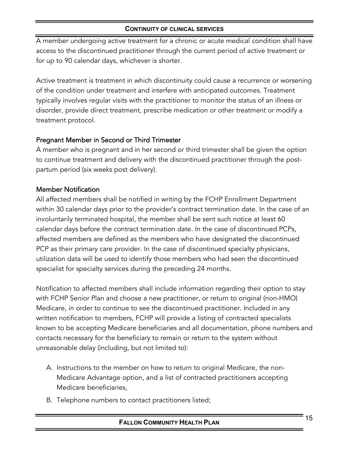A member undergoing active treatment for a chronic or acute medical condition shall have access to the discontinued practitioner through the current period of active treatment or for up to 90 calendar days, whichever is shorter.

Active treatment is treatment in which discontinuity could cause a recurrence or worsening of the condition under treatment and interfere with anticipated outcomes. Treatment typically involves regular visits with the practitioner to monitor the status of an illness or disorder, provide direct treatment, prescribe medication or other treatment or modify a treatment protocol.

## Pregnant Member in Second or Third Trimester

A member who is pregnant and in her second or third trimester shall be given the option to continue treatment and delivery with the discontinued practitioner through the postpartum period (six weeks post delivery).

## Member Notification

All affected members shall be notified in writing by the FCHP Enrollment Department within 30 calendar days prior to the provider's contract termination date. In the case of an involuntarily terminated hospital, the member shall be sent such notice at least 60 calendar days before the contract termination date. In the case of discontinued PCPs, affected members are defined as the members who have designated the discontinued PCP as their primary care provider. In the case of discontinued specialty physicians, utilization data will be used to identify those members who had seen the discontinued specialist for specialty services during the preceding 24 months.

Notification to affected members shall include information regarding their option to stay with FCHP Senior Plan and choose a new practitioner, or return to original (non-HMO) Medicare, in order to continue to see the discontinued practitioner. Included in any written notification to members, FCHP will provide a listing of contracted specialists known to be accepting Medicare beneficiaries and all documentation, phone numbers and contacts necessary for the beneficiary to remain or return to the system without unreasonable delay (including, but not limited to):

- A. Instructions to the member on how to return to original Medicare, the non-Medicare Advantage option, and a list of contracted practitioners accepting Medicare beneficiaries,
- B. Telephone numbers to contact practitioners listed;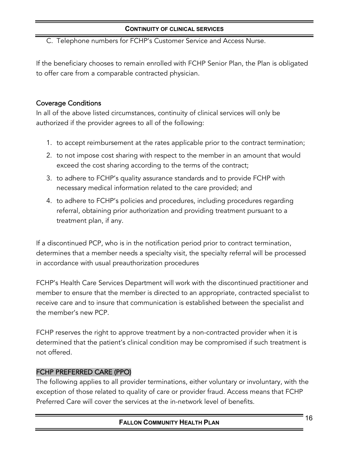C. Telephone numbers for FCHP's Customer Service and Access Nurse.

If the beneficiary chooses to remain enrolled with FCHP Senior Plan, the Plan is obligated to offer care from a comparable contracted physician.

## Coverage Conditions

In all of the above listed circumstances, continuity of clinical services will only be authorized if the provider agrees to all of the following:

- 1. to accept reimbursement at the rates applicable prior to the contract termination;
- 2. to not impose cost sharing with respect to the member in an amount that would exceed the cost sharing according to the terms of the contract;
- 3. to adhere to FCHP's quality assurance standards and to provide FCHP with necessary medical information related to the care provided; and
- 4. to adhere to FCHP's policies and procedures, including procedures regarding referral, obtaining prior authorization and providing treatment pursuant to a treatment plan, if any.

If a discontinued PCP, who is in the notification period prior to contract termination, determines that a member needs a specialty visit, the specialty referral will be processed in accordance with usual preauthorization procedures

FCHP's Health Care Services Department will work with the discontinued practitioner and member to ensure that the member is directed to an appropriate, contracted specialist to receive care and to insure that communication is established between the specialist and the member's new PCP.

FCHP reserves the right to approve treatment by a non-contracted provider when it is determined that the patient's clinical condition may be compromised if such treatment is not offered.

## FCHP PREFERRED CARE (PPO)

The following applies to all provider terminations, either voluntary or involuntary, with the exception of those related to quality of care or provider fraud. Access means that FCHP Preferred Care will cover the services at the in-network level of benefits.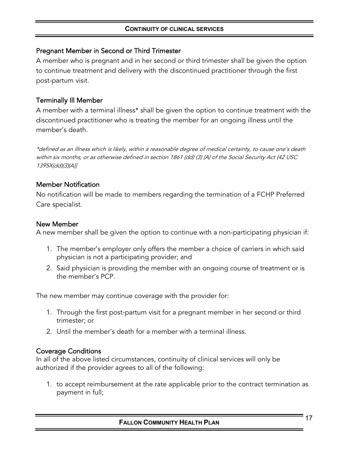## Pregnant Member in Second or Third Trimester

A member who is pregnant and in her second or third trimester shall be given the option to continue treatment and delivery with the discontinued practitioner through the first post-partum visit.

# Terminally Ill Member

A member with a terminal illness\* shall be given the option to continue treatment with the discontinued practitioner who is treating the member for an ongoing illness until the member's death.

\*defined as an illness which is likely, within a reasonable degree of medical certainty, to cause one's death within six months, or as otherwise defined in section 1861 (dd) (3) (A) of the Social Security Act (42 USC 1395X(dd)(3)(A)]

# Member Notification

No notification will be made to members regarding the termination of a FCHP Preferred Care specialist.

#### New Member

A new member shall be given the option to continue with a non-participating physician if:

- 1. The member's employer only offers the member a choice of carriers in which said physician is not a participating provider; and
- 2. Said physician is providing the member with an ongoing course of treatment or is the member's PCP.

The new member may continue coverage with the provider for:

- 1. Through the first post-partum visit for a pregnant member in her second or third trimester; or
- 2. Until the member's death for a member with a terminal illness.

## Coverage Conditions

In all of the above listed circumstances, continuity of clinical services will only be authorized if the provider agrees to all of the following:

1. to accept reimbursement at the rate applicable prior to the contract termination as payment in full;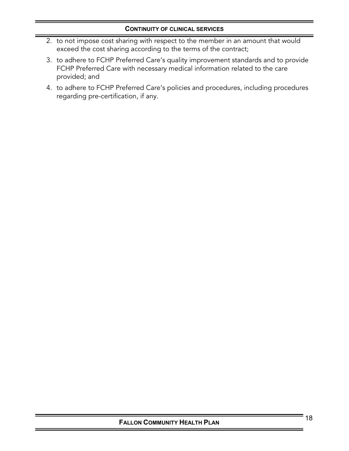- 2. to not impose cost sharing with respect to the member in an amount that would exceed the cost sharing according to the terms of the contract;
- 3. to adhere to FCHP Preferred Care's quality improvement standards and to provide FCHP Preferred Care with necessary medical information related to the care provided; and
- 4. to adhere to FCHP Preferred Care's policies and procedures, including procedures regarding pre-certification, if any.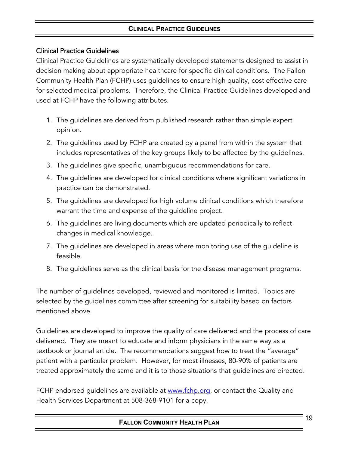## **CLINICAL PRACTICE GUIDELINES**

## <span id="page-18-0"></span>Clinical Practice Guidelines

Clinical Practice Guidelines are systematically developed statements designed to assist in decision making about appropriate healthcare for specific clinical conditions. The Fallon Community Health Plan (FCHP) uses guidelines to ensure high quality, cost effective care for selected medical problems. Therefore, the Clinical Practice Guidelines developed and used at FCHP have the following attributes.

- 1. The guidelines are derived from published research rather than simple expert opinion.
- 2. The guidelines used by FCHP are created by a panel from within the system that includes representatives of the key groups likely to be affected by the guidelines.
- 3. The guidelines give specific, unambiguous recommendations for care.
- 4. The guidelines are developed for clinical conditions where significant variations in practice can be demonstrated.
- 5. The guidelines are developed for high volume clinical conditions which therefore warrant the time and expense of the guideline project.
- 6. The guidelines are living documents which are updated periodically to reflect changes in medical knowledge.
- 7. The guidelines are developed in areas where monitoring use of the guideline is feasible.
- 8. The guidelines serve as the clinical basis for the disease management programs.

The number of guidelines developed, reviewed and monitored is limited. Topics are selected by the guidelines committee after screening for suitability based on factors mentioned above.

Guidelines are developed to improve the quality of care delivered and the process of care delivered. They are meant to educate and inform physicians in the same way as a textbook or journal article. The recommendations suggest how to treat the "average" patient with a particular problem. However, for most illnesses, 80-90% of patients are treated approximately the same and it is to those situations that guidelines are directed.

FCHP endorsed guidelines are available at [www.fchp.org,](http://www.fchp.org/) or contact the Quality and Health Services Department at 508-368-9101 for a copy.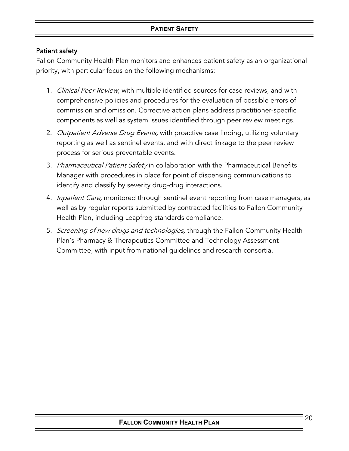## **PATIENT SAFETY**

## <span id="page-19-0"></span>Patient safety

Fallon Community Health Plan monitors and enhances patient safety as an organizational priority, with particular focus on the following mechanisms:

- 1. Clinical Peer Review, with multiple identified sources for case reviews, and with comprehensive policies and procedures for the evaluation of possible errors of commission and omission. Corrective action plans address practitioner-specific components as well as system issues identified through peer review meetings.
- 2. Outpatient Adverse Drug Events, with proactive case finding, utilizing voluntary reporting as well as sentinel events, and with direct linkage to the peer review process for serious preventable events.
- 3. *Pharmaceutical Patient Safety* in collaboration with the Pharmaceutical Benefits Manager with procedures in place for point of dispensing communications to identify and classify by severity drug-drug interactions.
- 4. *Inpatient Care*, monitored through sentinel event reporting from case managers, as well as by regular reports submitted by contracted facilities to Fallon Community Health Plan, including Leapfrog standards compliance.
- 5. Screening of new drugs and technologies, through the Fallon Community Health Plan's Pharmacy & Therapeutics Committee and Technology Assessment Committee, with input from national guidelines and research consortia.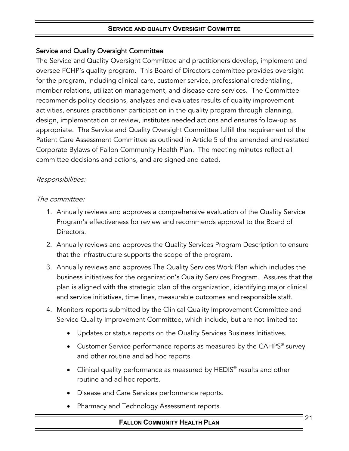## <span id="page-20-0"></span>Service and Quality Oversight Committee

The Service and Quality Oversight Committee and practitioners develop, implement and oversee FCHP's quality program. This Board of Directors committee provides oversight for the program, including clinical care, customer service, professional credentialing, member relations, utilization management, and disease care services. The Committee recommends policy decisions, analyzes and evaluates results of quality improvement activities, ensures practitioner participation in the quality program through planning, design, implementation or review, institutes needed actions and ensures follow-up as appropriate. The Service and Quality Oversight Committee fulfill the requirement of the Patient Care Assessment Committee as outlined in Article 5 of the amended and restated Corporate Bylaws of Fallon Community Health Plan. The meeting minutes reflect all committee decisions and actions, and are signed and dated.

## Responsibilities:

#### The committee:

- 1. Annually reviews and approves a comprehensive evaluation of the Quality Service Program's effectiveness for review and recommends approval to the Board of Directors.
- 2. Annually reviews and approves the Quality Services Program Description to ensure that the infrastructure supports the scope of the program.
- 3. Annually reviews and approves The Quality Services Work Plan which includes the business initiatives for the organization's Quality Services Program. Assures that the plan is aligned with the strategic plan of the organization, identifying major clinical and service initiatives, time lines, measurable outcomes and responsible staff.
- 4. Monitors reports submitted by the Clinical Quality Improvement Committee and Service Quality Improvement Committee, which include, but are not limited to:
	- Updates or status reports on the Quality Services Business Initiatives.
	- Customer Service performance reports as measured by the CAHPS<sup>®</sup> survey and other routine and ad hoc reports.
	- Clinical quality performance as measured by HEDIS<sup>®</sup> results and other routine and ad hoc reports.
	- Disease and Care Services performance reports.
	- Pharmacy and Technology Assessment reports.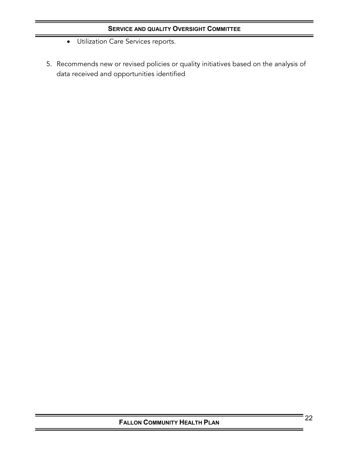- Utilization Care Services reports.
- 5. Recommends new or revised policies or quality initiatives based on the analysis of data received and opportunities identified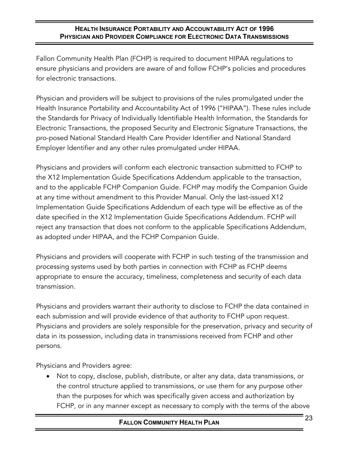## **HEALTH INSURANCE PORTABILITY AND ACCOUNTABILITY ACT OF 1996 PHYSICIAN AND PROVIDER COMPLIANCE FOR ELECTRONIC DATA TRANSMISSIONS**

<span id="page-22-0"></span>Fallon Community Health Plan (FCHP) is required to document HIPAA regulations to ensure physicians and providers are aware of and follow FCHP's policies and procedures for electronic transactions.

Physician and providers will be subject to provisions of the rules promulgated under the Health Insurance Portability and Accountability Act of 1996 ("HIPAA"). These rules include the Standards for Privacy of Individually Identifiable Health Information, the Standards for Electronic Transactions, the proposed Security and Electronic Signature Transactions, the pro-posed National Standard Health Care Provider Identifier and National Standard Employer Identifier and any other rules promulgated under HIPAA.

Physicians and providers will conform each electronic transaction submitted to FCHP to the X12 Implementation Guide Specifications Addendum applicable to the transaction, and to the applicable FCHP Companion Guide. FCHP may modify the Companion Guide at any time without amendment to this Provider Manual. Only the last-issued X12 Implementation Guide Specifications Addendum of each type will be effective as of the date specified in the X12 Implementation Guide Specifications Addendum. FCHP will reject any transaction that does not conform to the applicable Specifications Addendum, as adopted under HIPAA, and the FCHP Companion Guide.

Physicians and providers will cooperate with FCHP in such testing of the transmission and processing systems used by both parties in connection with FCHP as FCHP deems appropriate to ensure the accuracy, timeliness, completeness and security of each data transmission.

Physicians and providers warrant their authority to disclose to FCHP the data contained in each submission and will provide evidence of that authority to FCHP upon request. Physicians and providers are solely responsible for the preservation, privacy and security of data in its possession, including data in transmissions received from FCHP and other persons.

Physicians and Providers agree:

• Not to copy, disclose, publish, distribute, or alter any data, data transmissions, or the control structure applied to transmissions, or use them for any purpose other than the purposes for which was specifically given access and authorization by FCHP, or in any manner except as necessary to comply with the terms of the above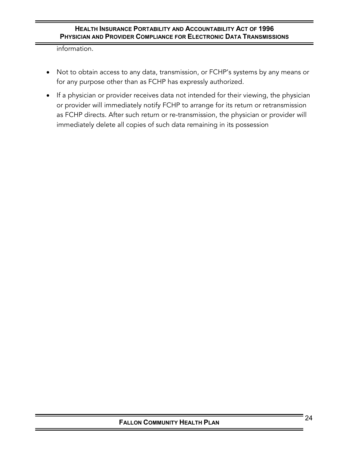#### **HEALTH INSURANCE PORTABILITY AND ACCOUNTABILITY ACT OF 1996 PHYSICIAN AND PROVIDER COMPLIANCE FOR ELECTRONIC DATA TRANSMISSIONS**

information.

- Not to obtain access to any data, transmission, or FCHP's systems by any means or for any purpose other than as FCHP has expressly authorized.
- If a physician or provider receives data not intended for their viewing, the physician or provider will immediately notify FCHP to arrange for its return or retransmission as FCHP directs. After such return or re-transmission, the physician or provider will immediately delete all copies of such data remaining in its possession